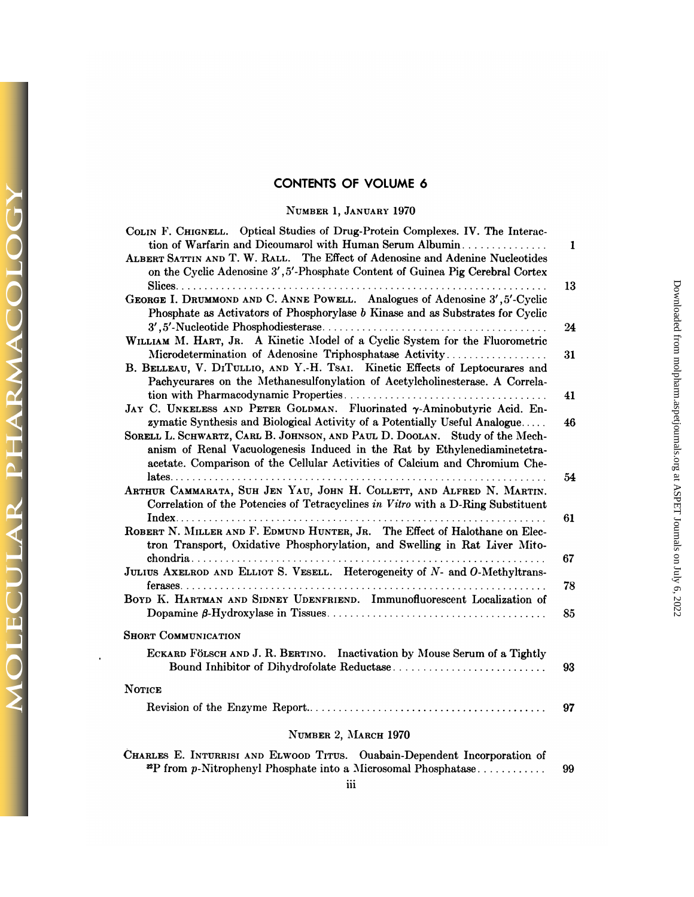## **CONTENTS OF VOLUME 6**

### NUMBER 1, JANUARY 1970

 $\sqrt{2}$ 

 $\breve{\rm O}$ 

**DLECULAR PHARMACOLO** 

| COLIN F. CHIGNELL. Optical Studies of Drug-Protein Complexes. IV. The Interac-<br>tion of Warfarin and Dicoumarol with Human Serum Albumin                    | $\mathbf{1}$ |
|---------------------------------------------------------------------------------------------------------------------------------------------------------------|--------------|
| ALBERT SATTIN AND T. W. RALL. The Effect of Adenosine and Adenine Nucleotides                                                                                 |              |
| on the Cyclic Adenosine 3', 5'-Phosphate Content of Guinea Pig Cerebral Cortex                                                                                |              |
|                                                                                                                                                               | 13           |
| GEORGE I. DRUMMOND AND C. ANNE POWELL. Analogues of Adenosine 3', 5'-Cyclic<br>Phosphate as Activators of Phosphorylase b Kinase and as Substrates for Cyclic |              |
|                                                                                                                                                               | 24           |
| WILLIAM M. HART, JR. A Kinetic Model of a Cyclic System for the Fluorometric<br>Microdetermination of Adenosine Triphosphatase Activity                       |              |
| B. BELLEAU, V. DITULLIO, AND Y.-H. TSAI. Kinetic Effects of Leptocurares and                                                                                  | 31           |
| Pachycurares on the Methanesulfonylation of Acetylcholinesterase. A Correla-                                                                                  |              |
|                                                                                                                                                               | 41           |
| JAY C. UNKELESS AND PETER GOLDMAN. Fluorinated y-Aminobutyric Acid. En-                                                                                       |              |
| zymatic Synthesis and Biological Activity of a Potentially Useful Analogue                                                                                    | 46           |
| SORELL L. SCHWARTZ, CARL B. JOHNSON, AND PAUL D. DOOLAN. Study of the Mech-                                                                                   |              |
| anism of Renal Vacuologenesis Induced in the Rat by Ethylenediaminetetra-                                                                                     |              |
| acetate. Comparison of the Cellular Activities of Calcium and Chromium Che-                                                                                   | 54           |
| ARTHUR CAMMARATA, SUH JEN YAU, JOHN H. COLLETT, AND ALFRED N. MARTIN.                                                                                         |              |
| Correlation of the Potencies of Tetracyclines in Vitro with a D-Ring Substituent                                                                              |              |
|                                                                                                                                                               | 61           |
| ROBERT N. MILLER AND F. EDMUND HUNTER, JR. The Effect of Halothane on Elec-<br>tron Transport, Oxidative Phosphorylation, and Swelling in Rat Liver Mito-     |              |
| JULIUS AXELROD AND ELLIOT S. VESELL. Heterogeneity of N- and O-Methyltrans-                                                                                   | 67           |
|                                                                                                                                                               | 78           |
| BOYD K. HARTMAN AND SIDNEY UDENFRIEND. Immunofluorescent Localization of                                                                                      |              |
|                                                                                                                                                               | 85           |
| <b>SHORT COMMUNICATION</b>                                                                                                                                    |              |
| ECKARD FÖLSCH AND J. R. BERTINO. Inactivation by Mouse Serum of a Tightly                                                                                     |              |
|                                                                                                                                                               | 93           |
| <b>NOTICE</b>                                                                                                                                                 |              |
|                                                                                                                                                               | 97           |
| NUMBER 2, MARCH 1970                                                                                                                                          |              |
| CHARLES E. INTURRISI AND ELWOOD TITUS. Ouabain-Dependent Incorporation of                                                                                     |              |
| <sup>22</sup> P from p-Nitrophenyl Phosphate into a Microsomal Phosphatase                                                                                    | 99           |

Downloaded from molpharm.<br>aspetjournals.org at ASPET Journals on July 6, 2022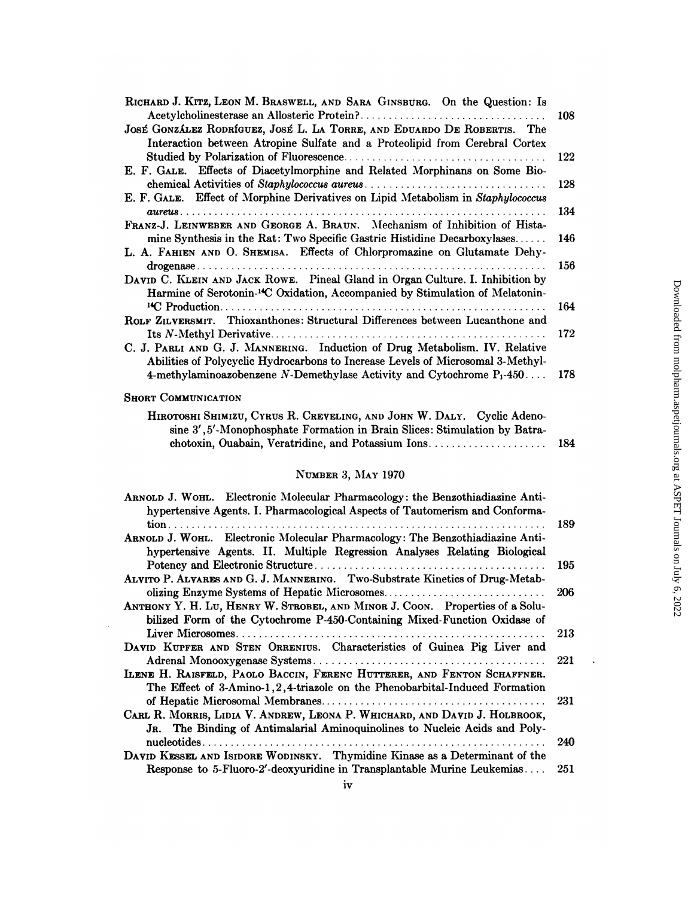| RICHARD J. KITZ, LEON M. BRASWELL, AND SARA GINSBURG. On the Question: Is                                                                                                  |     |
|----------------------------------------------------------------------------------------------------------------------------------------------------------------------------|-----|
|                                                                                                                                                                            | 108 |
| JOSÉ GONZÁLEZ RODRÍGUEZ, JOSÉ L. LA TORRE, AND EDUARDO DE ROBERTIS. The<br>Interaction between Atropine Sulfate and a Proteolipid from Cerebral Cortex                     |     |
|                                                                                                                                                                            | 122 |
| E. F. GALE. Effects of Diacetylmorphine and Related Morphinans on Some Bio-                                                                                                | 128 |
| E. F. GALE. Effect of Morphine Derivatives on Lipid Metabolism in Staphylococcus                                                                                           | 134 |
| FRANZ-J. LEINWEBER AND GEORGE A. BRAUN. Mechanism of Inhibition of Hista-<br>mine Synthesis in the Rat: Two Specific Gastric Histidine Decarboxylases                      | 146 |
| L. A. FAHIEN AND O. SHEMISA. Effects of Chlorpromazine on Glutamate Dehy-                                                                                                  | 156 |
| DAVID C. KLEIN AND JACK ROWE. Pineal Gland in Organ Culture. I. Inhibition by<br>Harmine of Serotonin- <sup>14</sup> C Oxidation, Accompanied by Stimulation of Melatonin- |     |
|                                                                                                                                                                            | 164 |
| ROLF ZILVERSMIT. Thioxanthones: Structural Differences between Lucanthone and                                                                                              |     |
|                                                                                                                                                                            | 172 |
| C. J. PARLI AND G. J. MANNERING. Induction of Drug Metabolism. IV. Relative<br>Abilities of Polycyclic Hydrocarbons to Increase Levels of Microsomal 3-Methyl-             |     |
| 4-methylaminoazobenzene N-Demethylase Activity and Cytochrome $P_1$ -450                                                                                                   | 178 |
| <b>SHORT COMMUNICATION</b>                                                                                                                                                 |     |
| HIROTOSHI SHIMIZU, CYRUS R. CREVELING, AND JOHN W. DALY. Cyclic Adeno-<br>sine 3', 5'-Monophosphate Formation in Brain Slices: Stimulation by Batra-                       |     |

#### NUMBER 3, MAY 1970

| ARNOLD J. WOHL. Electronic Molecular Pharmacology: the Benzothiadiazine Anti- |     |
|-------------------------------------------------------------------------------|-----|
| hypertensive Agents. I. Pharmacological Aspects of Tautomerism and Conforma-  |     |
|                                                                               | 189 |
| ARNOLD J. WOHL. Electronic Molecular Pharmacology: The Benzothiadiazine Anti- |     |
| hypertensive Agents. II. Multiple Regression Analyses Relating Biological     |     |
|                                                                               | 195 |
| ALVITO P. ALVARES AND G. J. MANNERING. Two-Substrate Kinetics of Drug-Metab-  |     |
|                                                                               | 206 |
| ANTHONY Y. H. LU, HENRY W. STROBEL, AND MINOR J. COON. Properties of a Solu-  |     |
| bilized Form of the Cytochrome P-450-Containing Mixed-Function Oxidase of     |     |
|                                                                               | 213 |
| DAVID KUPFER AND STEN ORRENIUS. Characteristics of Guinea Pig Liver and       |     |
|                                                                               | 221 |
| LLENE H. RAISFELD, PAOLO BACCIN, FERENC HUTTERER, AND FENTON SCHAFFNER.       |     |
| The Effect of 3-Amino-1,2,4-triazole on the Phenobarbital-Induced Formation   |     |
|                                                                               | 231 |
| CARL R. MORRIS, LIDIA V. ANDREW, LEONA P. WHICHARD, AND DAVID J. HOLBROOK,    |     |
| JR. The Binding of Antimalarial Aminoquinolines to Nucleic Acids and Poly-    |     |
|                                                                               | 240 |
| DAVID KESSEL AND ISIDORE WODINSKY. Thymidine Kinase as a Determinant of the   |     |
| Response to 5-Fluoro-2'-deoxyuridine in Transplantable Murine Leukemias       | 251 |

184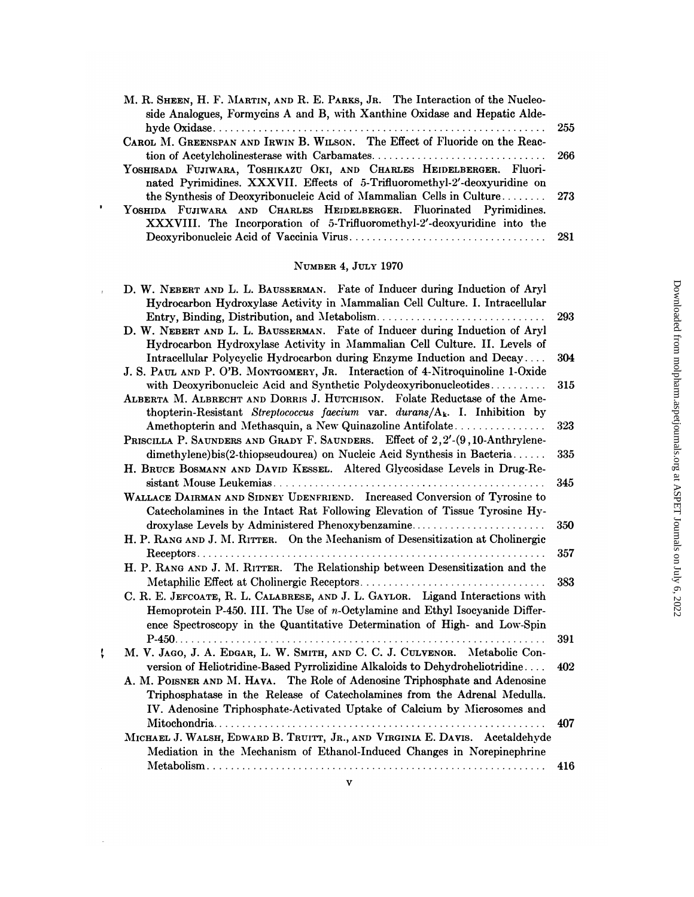| M. R. SHEEN, H. F. MARTIN, AND R. E. PARKS, JR. The Interaction of the Nucleo- |  |
|--------------------------------------------------------------------------------|--|
| side Analogues, Formycins A and B, with Xanthine Oxidase and Hepatic Alde-     |  |
|                                                                                |  |
| CAROL M. GREENSPAN AND IRWIN B. WILSON. The Effect of Fluoride on the Reac-    |  |
|                                                                                |  |
| YOSHISADA FUJIWARA, TOSHIKAZU OKI, AND CHARLES HEIDELBERGER. Fluori-           |  |
| nated Pyrimidines. XXXVII. Effects of 5-Trifluoromethyl-2'-deoxyuridine on     |  |
| the Synthesis of Deoxyribonucleic Acid of Mammalian Cells in Culture 273       |  |
| YOSHIDA FUJIWARA AND CHARLES HEIDELBERGER. Fluorinated Pyrimidines.            |  |
| XXXVIII. The Incorporation of 5-Trifluoromethyl-2'-deoxyuridine into the       |  |
|                                                                                |  |

 $\bar{\phantom{a}}$ 

 $\pmb{\downarrow}$ 

 $\sim$ 

# NUMBER 4, JULY 1970

| D. W. NEBERT AND L. L. BAUSSERMAN. Fate of Inducer during Induction of Aryl     |     |
|---------------------------------------------------------------------------------|-----|
| Hydrocarbon Hydroxylase Activity in Mammalian Cell Culture. I. Intracellular    |     |
|                                                                                 | 293 |
| D. W. NEBERT AND L. L. BAUSSERMAN. Fate of Inducer during Induction of Aryl     |     |
| Hydrocarbon Hydroxylase Activity in Mammalian Cell Culture. II. Levels of       |     |
| Intracellular Polycyclic Hydrocarbon during Enzyme Induction and Decay          | 304 |
| J. S. PAUL AND P. O'B. MONTGOMERY, JR. Interaction of 4-Nitroquinoline 1-Oxide  |     |
| with Deoxyribonucleic Acid and Synthetic Polydeoxyribonucleotides               | 315 |
| ALBERTA M. ALBRECHT AND DORRIS J. HUTCHISON. Folate Reductase of the Ame-       |     |
| thopterin-Resistant Streptococcus faecium var. durans/ $A_k$ . I. Inhibition by |     |
| Amethopterin and Methasquin, a New Quinazoline Antifolate                       | 323 |
| PRISCILLA P. SAUNDERS AND GRADY F. SAUNDERS. Effect of 2,2'-(9,10-Anthrylene-   |     |
| dimethylene)bis(2-thiopseudourea) on Nucleic Acid Synthesis in Bacteria         | 335 |
| H. BRUCE BOSMANN AND DAVID KESSEL. Altered Glycosidase Levels in Drug-Re-       |     |
|                                                                                 | 345 |
| WALLACE DAIRMAN AND SIDNEY UDENFRIEND. Increased Conversion of Tyrosine to      |     |
| Catecholamines in the Intact Rat Following Elevation of Tissue Tyrosine Hy-     |     |
| droxylase Levels by Administered Phenoxybenzamine                               | 350 |
| H. P. RANG AND J. M. RITTER. On the Mechanism of Desensitization at Cholinergic |     |
|                                                                                 | 357 |
| H. P. RANG AND J. M. RITTER. The Relationship between Desensitization and the   |     |
|                                                                                 | 383 |
| C. R. E. JEFCOATE, R. L. CALABRESE, AND J. L. GAYLOR. Ligand Interactions with  |     |
| Hemoprotein P-450. III. The Use of $n$ -Octylamine and Ethyl Isocyanide Differ- |     |
| ence Spectroscopy in the Quantitative Determination of High- and Low-Spin       |     |
|                                                                                 | 391 |
| M. V. JAGO, J. A. EDGAR, L. W. SMITH, AND C. C. J. CULVENOR. Metabolic Con-     |     |
| version of Heliotridine-Based Pyrrolizidine Alkaloids to Dehydroheliotridine    | 402 |
| A. M. POISNER AND M. HAVA. The Role of Adenosine Triphosphate and Adenosine     |     |
| Triphosphatase in the Release of Catecholamines from the Adrenal Medulla.       |     |
| IV. Adenosine Triphosphate-Activated Uptake of Calcium by Microsomes and        |     |
|                                                                                 | 407 |
| MICHAEL J. WALSH, EDWARD B. TRUITT, JR., AND VIRGINIA E. DAVIS. Acetaldehyde    |     |
| Mediation in the Mechanism of Ethanol-Induced Changes in Norepinephrine         |     |
|                                                                                 | 416 |
|                                                                                 |     |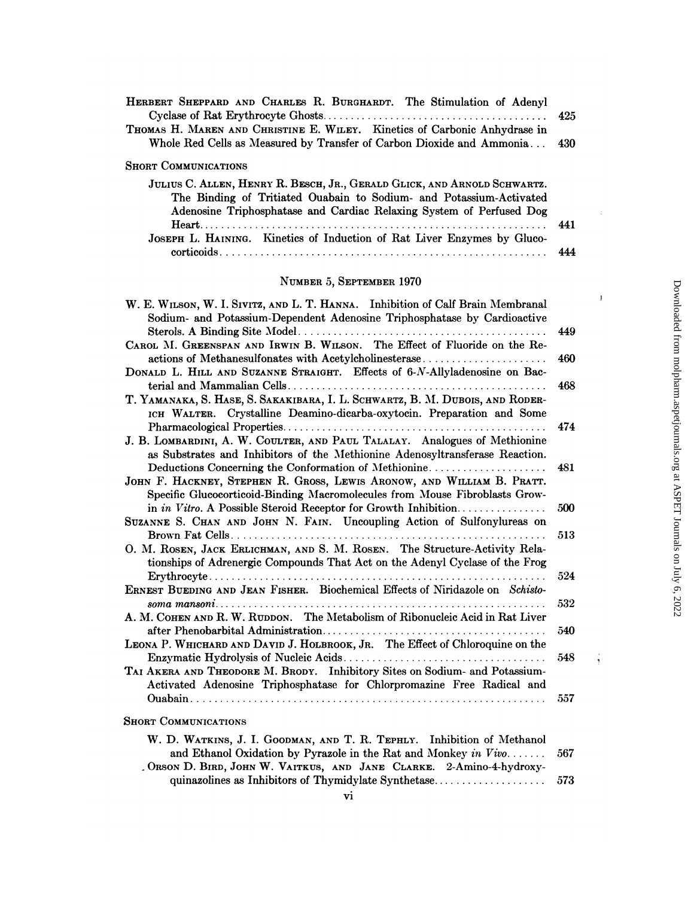| HERBERT SHEPPARD AND CHARLES R. BURGHARDT. The Stimulation of Adenyl      |       |
|---------------------------------------------------------------------------|-------|
|                                                                           |       |
| THOMAS H. MAREN AND CHRISTINE E. WILEY. Kinetics of Carbonic Anhydrase in |       |
| Whole Red Cells as Measured by Transfer of Carbon Dioxide and Ammonia     | - 430 |
| <b>SHORT COMMUNICATIONS</b>                                               |       |
| JULIUS C. ALLEN, HENRY R. BESCH, JR., GERALD GLICK, AND ARNOLD SCHWARTZ.  |       |
| The Binding of Tritiated Ouabain to Sodium- and Potassium-Activated       |       |
| Adenosine Triphosphatase and Cardiac Relaxing System of Perfused Dog      |       |
|                                                                           |       |
| JOSEPH L. HAINING. Kinetics of Induction of Rat Liver Enzymes by Gluco-   |       |
|                                                                           | 444   |

### NUMBER 5, SEPTEMBER 1970

| W. E. WILSON, W. I. SIVITZ, AND L. T. HANNA. Inhibition of Calf Brain Membranal                                                                                                                                                                                                                                                                 |     |
|-------------------------------------------------------------------------------------------------------------------------------------------------------------------------------------------------------------------------------------------------------------------------------------------------------------------------------------------------|-----|
| Sodium- and Potassium-Dependent Adenosine Triphosphatase by Cardioactive                                                                                                                                                                                                                                                                        |     |
|                                                                                                                                                                                                                                                                                                                                                 | 449 |
| CAROL M. GREENSPAN AND IRWIN B. WILSON. The Effect of Fluoride on the Re-                                                                                                                                                                                                                                                                       |     |
| actions of Methanesulfonates with Acetylcholinesterase                                                                                                                                                                                                                                                                                          | 460 |
| DONALD L. HILL AND SUZANNE STRAIGHT. Effects of 6-N-Allyladenosine on Bac-                                                                                                                                                                                                                                                                      |     |
|                                                                                                                                                                                                                                                                                                                                                 | 468 |
| T. YAMANAKA, S. HASE, S. SAKAKIBARA, I. L. SCHWARTZ, B. M. DUBOIS, AND RODER-                                                                                                                                                                                                                                                                   |     |
| ICH WALTER. Crystalline Deamino-dicarba-oxytocin. Preparation and Some                                                                                                                                                                                                                                                                          |     |
|                                                                                                                                                                                                                                                                                                                                                 | 474 |
| J. B. LOMBARDINI, A. W. COULTER, AND PAUL TALALAY. Analogues of Methionine                                                                                                                                                                                                                                                                      |     |
| as Substrates and Inhibitors of the Methionine Adenosyltransferase Reaction.                                                                                                                                                                                                                                                                    |     |
| Deductions Concerning the Conformation of Methionine                                                                                                                                                                                                                                                                                            | 481 |
| JOHN F. HACKNEY, STEPHEN R. GROSS, LEWIS ARONOW, AND WILLIAM B. PRATT.                                                                                                                                                                                                                                                                          |     |
| Specific Glucocorticoid-Binding Macromolecules from Mouse Fibroblasts Grow-                                                                                                                                                                                                                                                                     |     |
| in in Vitro. A Possible Steroid Receptor for Growth Inhibition                                                                                                                                                                                                                                                                                  | 500 |
| SUZANNE S. CHAN AND JOHN N. FAIN. Uncoupling Action of Sulfonylureas on                                                                                                                                                                                                                                                                         |     |
|                                                                                                                                                                                                                                                                                                                                                 | 513 |
| O. M. ROSEN, JACK ERLICHMAN, AND S. M. ROSEN. The Structure-Activity Rela-                                                                                                                                                                                                                                                                      |     |
| tionships of Adrenergic Compounds That Act on the Adenyl Cyclase of the Frog                                                                                                                                                                                                                                                                    |     |
|                                                                                                                                                                                                                                                                                                                                                 | 524 |
| ERNEST BUEDING AND JEAN FISHER. Biochemical Effects of Niridazole on Schisto-                                                                                                                                                                                                                                                                   |     |
|                                                                                                                                                                                                                                                                                                                                                 | 532 |
| A. M. COHEN AND R. W. RUDDON. The Metabolism of Ribonucleic Acid in Rat Liver                                                                                                                                                                                                                                                                   |     |
|                                                                                                                                                                                                                                                                                                                                                 | 540 |
| LEONA P. WHICHARD AND DAVID J. HOLBROOK, JR. The Effect of Chloroquine on the                                                                                                                                                                                                                                                                   |     |
|                                                                                                                                                                                                                                                                                                                                                 | 548 |
| TAI AKERA AND THEODORE M. BRODY. Inhibitory Sites on Sodium- and Potassium-                                                                                                                                                                                                                                                                     |     |
| Activated Adenosine Triphosphatase for Chlorpromazine Free Radical and                                                                                                                                                                                                                                                                          |     |
|                                                                                                                                                                                                                                                                                                                                                 | 557 |
| <b>SHORT COMMUNICATIONS</b>                                                                                                                                                                                                                                                                                                                     |     |
| W. D. WATKINS, J. I. GOODMAN, AND T. R. TEPHLY. Inhibition of Methanol<br>and Ethanol Oxidation by Pyrazole in the Rat and Monkey in $Viv$                                                                                                                                                                                                      | 567 |
| $O_{\text{PQON}}$ D $D_{\text{PDD}}$ $I_{\text{OIII}}$ $W_{\text{M}}$ $V_{\text{M}}$ $m_{\text{M}}$ $I_{\text{M}}$ $I_{\text{M}}$ $I_{\text{M}}$ $I_{\text{M}}$ $I_{\text{M}}$ $I_{\text{M}}$ $I_{\text{M}}$ $I_{\text{M}}$ $I_{\text{M}}$ $I_{\text{M}}$ $I_{\text{M}}$ $I_{\text{M}}$ $I_{\text{M}}$ $I_{\text{M}}$ $I_{\text{M}}$ $I_{\text$ |     |

. ORSON D. BIRD, JOHN W. VAITKUS, AND JANE CLARKE. 2-Amino-4-hydroxy $\frac{1}{2}$ 

 $\bar{\bf 1}$ 

ţ